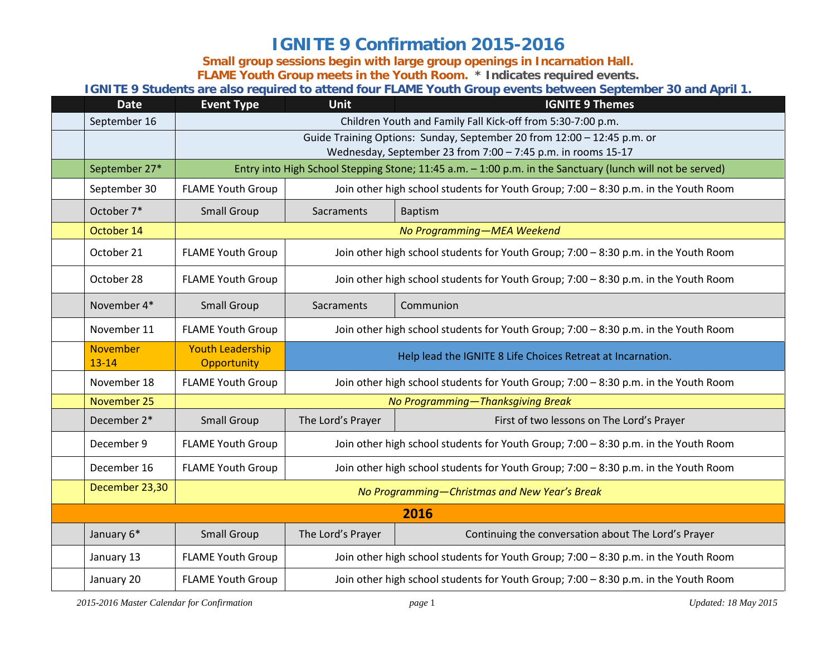## **IGNITE 9 Confirmation 2015-2016**

**Small group sessions begin with large group openings in Incarnation Hall.** 

**FLAME Youth Group meets in the Youth Room. \* Indicates required events.**

**IGNITE 9 Students are also required to attend four FLAME Youth Group events between September 30 and April 1.** 

| <b>Date</b>                  | <b>Event Type</b>                                                                                         | <b>Unit</b>                                                                         | <b>IGNITE 9 Themes</b>                              |  |  |
|------------------------------|-----------------------------------------------------------------------------------------------------------|-------------------------------------------------------------------------------------|-----------------------------------------------------|--|--|
| September 16                 | Children Youth and Family Fall Kick-off from 5:30-7:00 p.m.                                               |                                                                                     |                                                     |  |  |
|                              | Guide Training Options: Sunday, September 20 from 12:00 - 12:45 p.m. or                                   |                                                                                     |                                                     |  |  |
|                              | Wednesday, September 23 from 7:00 - 7:45 p.m. in rooms 15-17                                              |                                                                                     |                                                     |  |  |
| September 27*                | Entry into High School Stepping Stone; 11:45 a.m. - 1:00 p.m. in the Sanctuary (lunch will not be served) |                                                                                     |                                                     |  |  |
| September 30                 | <b>FLAME Youth Group</b>                                                                                  | Join other high school students for Youth Group; 7:00 - 8:30 p.m. in the Youth Room |                                                     |  |  |
| October 7*                   | <b>Small Group</b>                                                                                        | Sacraments                                                                          | <b>Baptism</b>                                      |  |  |
| October 14                   |                                                                                                           | No Programming-MEA Weekend                                                          |                                                     |  |  |
| October 21                   | <b>FLAME Youth Group</b>                                                                                  | Join other high school students for Youth Group; 7:00 - 8:30 p.m. in the Youth Room |                                                     |  |  |
| October 28                   | <b>FLAME Youth Group</b>                                                                                  | Join other high school students for Youth Group; 7:00 - 8:30 p.m. in the Youth Room |                                                     |  |  |
| November 4*                  | <b>Small Group</b>                                                                                        | Sacraments                                                                          | Communion                                           |  |  |
| November 11                  | <b>FLAME Youth Group</b>                                                                                  | Join other high school students for Youth Group; 7:00 - 8:30 p.m. in the Youth Room |                                                     |  |  |
| <b>November</b><br>$13 - 14$ | <b>Youth Leadership</b><br>Opportunity                                                                    | Help lead the IGNITE 8 Life Choices Retreat at Incarnation.                         |                                                     |  |  |
| November 18                  | <b>FLAME Youth Group</b>                                                                                  | Join other high school students for Youth Group; 7:00 - 8:30 p.m. in the Youth Room |                                                     |  |  |
| November 25                  |                                                                                                           | No Programming-Thanksgiving Break                                                   |                                                     |  |  |
| December 2*                  | <b>Small Group</b>                                                                                        | The Lord's Prayer                                                                   | First of two lessons on The Lord's Prayer           |  |  |
| December 9                   | <b>FLAME Youth Group</b>                                                                                  | Join other high school students for Youth Group; 7:00 - 8:30 p.m. in the Youth Room |                                                     |  |  |
| December 16                  | <b>FLAME Youth Group</b>                                                                                  | Join other high school students for Youth Group; 7:00 - 8:30 p.m. in the Youth Room |                                                     |  |  |
| December 23,30               | No Programming-Christmas and New Year's Break                                                             |                                                                                     |                                                     |  |  |
|                              | 2016                                                                                                      |                                                                                     |                                                     |  |  |
| January 6*                   | <b>Small Group</b>                                                                                        | The Lord's Prayer                                                                   | Continuing the conversation about The Lord's Prayer |  |  |
| January 13                   | <b>FLAME Youth Group</b>                                                                                  | Join other high school students for Youth Group; 7:00 - 8:30 p.m. in the Youth Room |                                                     |  |  |
| January 20                   | <b>FLAME Youth Group</b>                                                                                  | Join other high school students for Youth Group; 7:00 - 8:30 p.m. in the Youth Room |                                                     |  |  |

*2015-2016 Master Calendar for Confirmation page* 1 *Updated: 18 May 2015*